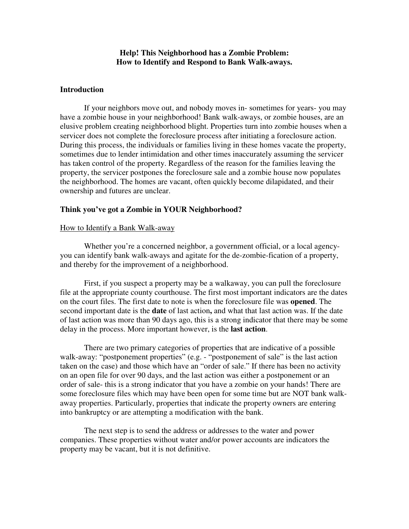## **Help! This Neighborhood has a Zombie Problem: How to Identify and Respond to Bank Walk-aways.**

### **Introduction**

 If your neighbors move out, and nobody moves in- sometimes for years- you may have a zombie house in your neighborhood! Bank walk-aways, or zombie houses, are an elusive problem creating neighborhood blight. Properties turn into zombie houses when a servicer does not complete the foreclosure process after initiating a foreclosure action. During this process, the individuals or families living in these homes vacate the property, sometimes due to lender intimidation and other times inaccurately assuming the servicer has taken control of the property. Regardless of the reason for the families leaving the property, the servicer postpones the foreclosure sale and a zombie house now populates the neighborhood. The homes are vacant, often quickly become dilapidated, and their ownership and futures are unclear.

#### **Think you've got a Zombie in YOUR Neighborhood?**

### How to Identify a Bank Walk-away

 Whether you're a concerned neighbor, a government official, or a local agencyyou can identify bank walk-aways and agitate for the de-zombie-fication of a property, and thereby for the improvement of a neighborhood.

 First, if you suspect a property may be a walkaway, you can pull the foreclosure file at the appropriate county courthouse. The first most important indicators are the dates on the court files. The first date to note is when the foreclosure file was **opened**. The second important date is the **date** of last action**,** and what that last action was. If the date of last action was more than 90 days ago, this is a strong indicator that there may be some delay in the process. More important however, is the **last action**.

There are two primary categories of properties that are indicative of a possible walk-away: "postponement properties" (e.g. - "postponement of sale" is the last action taken on the case) and those which have an "order of sale." If there has been no activity on an open file for over 90 days, and the last action was either a postponement or an order of sale- this is a strong indicator that you have a zombie on your hands! There are some foreclosure files which may have been open for some time but are NOT bank walkaway properties. Particularly, properties that indicate the property owners are entering into bankruptcy or are attempting a modification with the bank.

The next step is to send the address or addresses to the water and power companies. These properties without water and/or power accounts are indicators the property may be vacant, but it is not definitive.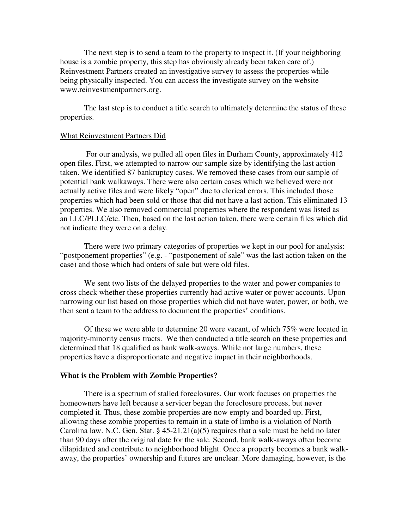The next step is to send a team to the property to inspect it. (If your neighboring house is a zombie property, this step has obviously already been taken care of.) Reinvestment Partners created an investigative survey to assess the properties while being physically inspected. You can access the investigate survey on the website www.reinvestmentpartners.org.

The last step is to conduct a title search to ultimately determine the status of these properties.

#### What Reinvestment Partners Did

 For our analysis, we pulled all open files in Durham County, approximately 412 open files. First, we attempted to narrow our sample size by identifying the last action taken. We identified 87 bankruptcy cases. We removed these cases from our sample of potential bank walkaways. There were also certain cases which we believed were not actually active files and were likely "open" due to clerical errors. This included those properties which had been sold or those that did not have a last action. This eliminated 13 properties. We also removed commercial properties where the respondent was listed as an LLC/PLLC/etc. Then, based on the last action taken, there were certain files which did not indicate they were on a delay.

 There were two primary categories of properties we kept in our pool for analysis: "postponement properties" (e.g. - "postponement of sale" was the last action taken on the case) and those which had orders of sale but were old files.

 We sent two lists of the delayed properties to the water and power companies to cross check whether these properties currently had active water or power accounts. Upon narrowing our list based on those properties which did not have water, power, or both, we then sent a team to the address to document the properties' conditions.

 Of these we were able to determine 20 were vacant, of which 75% were located in majority-minority census tracts. We then conducted a title search on these properties and determined that 18 qualified as bank walk-aways. While not large numbers, these properties have a disproportionate and negative impact in their neighborhoods.

#### **What is the Problem with Zombie Properties?**

There is a spectrum of stalled foreclosures. Our work focuses on properties the homeowners have left because a servicer began the foreclosure process, but never completed it. Thus, these zombie properties are now empty and boarded up. First, allowing these zombie properties to remain in a state of limbo is a violation of North Carolina law. N.C. Gen. Stat. §  $45-21.21(a)(5)$  requires that a sale must be held no later than 90 days after the original date for the sale. Second, bank walk-aways often become dilapidated and contribute to neighborhood blight. Once a property becomes a bank walkaway, the properties' ownership and futures are unclear. More damaging, however, is the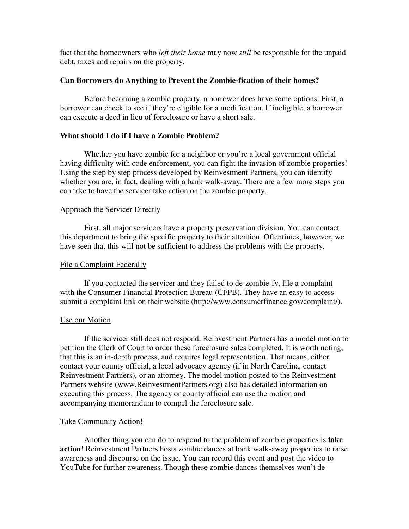fact that the homeowners who *left their home* may now *still* be responsible for the unpaid debt, taxes and repairs on the property.

# **Can Borrowers do Anything to Prevent the Zombie-fication of their homes?**

Before becoming a zombie property, a borrower does have some options. First, a borrower can check to see if they're eligible for a modification. If ineligible, a borrower can execute a deed in lieu of foreclosure or have a short sale.

# **What should I do if I have a Zombie Problem?**

Whether you have zombie for a neighbor or you're a local government official having difficulty with code enforcement, you can fight the invasion of zombie properties! Using the step by step process developed by Reinvestment Partners, you can identify whether you are, in fact, dealing with a bank walk-away. There are a few more steps you can take to have the servicer take action on the zombie property.

# Approach the Servicer Directly

First, all major servicers have a property preservation division. You can contact this department to bring the specific property to their attention. Oftentimes, however, we have seen that this will not be sufficient to address the problems with the property.

## File a Complaint Federally

If you contacted the servicer and they failed to de-zombie-fy, file a complaint with the Consumer Financial Protection Bureau (CFPB). They have an easy to access submit a complaint link on their website (http://www.consumerfinance.gov/complaint/).

### Use our Motion

If the servicer still does not respond, Reinvestment Partners has a model motion to petition the Clerk of Court to order these foreclosure sales completed. It is worth noting, that this is an in-depth process, and requires legal representation. That means, either contact your county official, a local advocacy agency (if in North Carolina, contact Reinvestment Partners), or an attorney. The model motion posted to the Reinvestment Partners website (www.ReinvestmentPartners.org) also has detailed information on executing this process. The agency or county official can use the motion and accompanying memorandum to compel the foreclosure sale.

### Take Community Action!

Another thing you can do to respond to the problem of zombie properties is **take action**! Reinvestment Partners hosts zombie dances at bank walk-away properties to raise awareness and discourse on the issue. You can record this event and post the video to YouTube for further awareness. Though these zombie dances themselves won't de